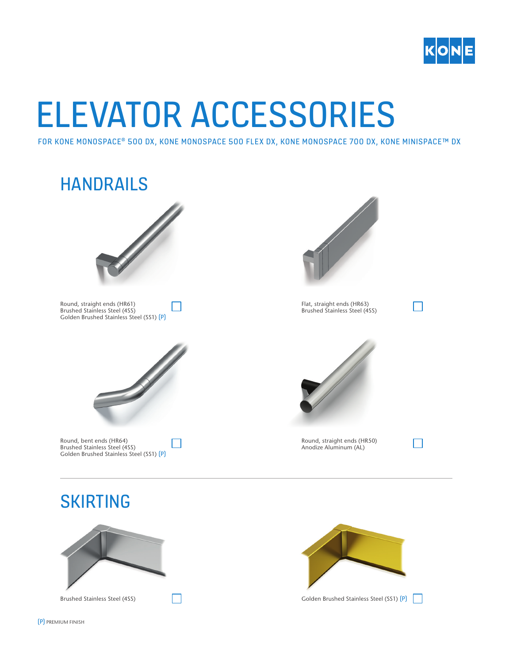

# ELEVATOR ACCESSORIES

FOR KONE MONOSPACE® 500 DX, KONE MONOSPACE 500 FLEX DX, KONE MONOSPACE 700 DX, KONE MINISPACE™ DX